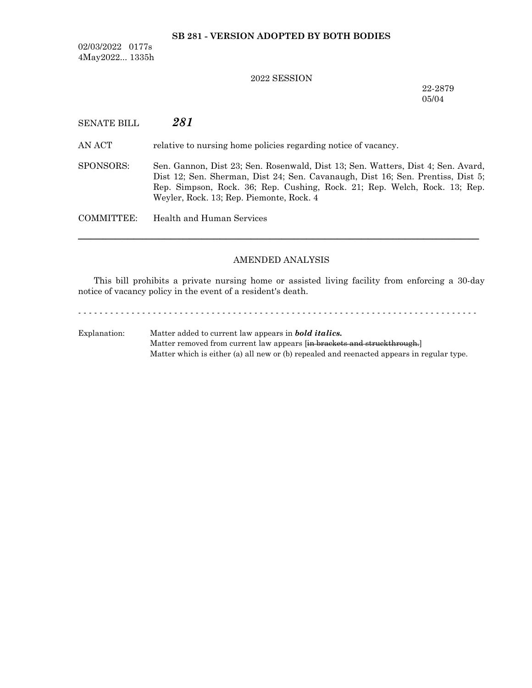## **SB 281 - VERSION ADOPTED BY BOTH BODIES**

02/03/2022 0177s 4May2022... 1335h

## 2022 SESSION

22-2879 05/04

| <b>SENATE BILL</b> | 281 |
|--------------------|-----|
|--------------------|-----|

AN ACT relative to nursing home policies regarding notice of vacancy.

SPONSORS: Sen. Gannon, Dist 23; Sen. Rosenwald, Dist 13; Sen. Watters, Dist 4; Sen. Avard, Dist 12; Sen. Sherman, Dist 24; Sen. Cavanaugh, Dist 16; Sen. Prentiss, Dist 5; Rep. Simpson, Rock. 36; Rep. Cushing, Rock. 21; Rep. Welch, Rock. 13; Rep. Weyler, Rock. 13; Rep. Piemonte, Rock. 4

COMMITTEE: Health and Human Services

#### AMENDED ANALYSIS

─────────────────────────────────────────────────────────────────

This bill prohibits a private nursing home or assisted living facility from enforcing a 30-day notice of vacancy policy in the event of a resident's death.

- - - - - - - - - - - - - - - - - - - - - - - - - - - - - - - - - - - - - - - - - - - - - - - - - - - - - - - - - - - - - - - - - - - - - - - - - - - Explanation: Matter added to current law appears in *bold italics.* Matter removed from current law appears [in brackets and struckthrough.] Matter which is either (a) all new or (b) repealed and reenacted appears in regular type.